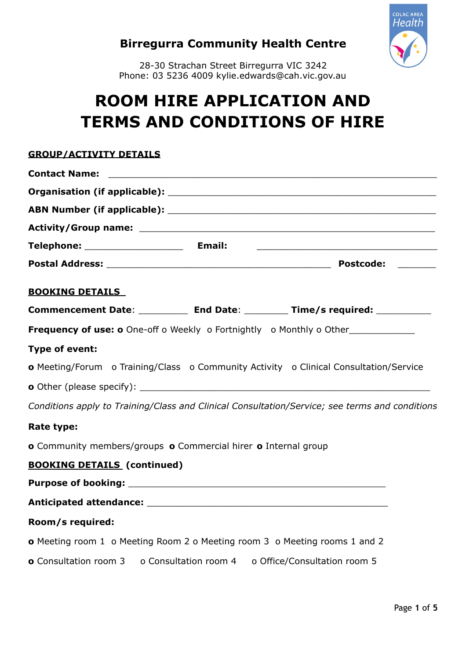

# **Birregurra Community Health Centre**

28-30 Strachan Street Birregurra VIC 3242 Phone: 03 5236 4009 kylie.edwards@cah.vic.gov.au

# **ROOM HIRE APPLICATION AND TERMS AND CONDITIONS OF HIRE**

# **GROUP/ACTIVITY DETAILS**

|                                    | <u> 1989 - Johann Harry Harry Harry Harry Harry Harry Harry Harry Harry Harry Harry Harry Harry Harry Harry Harry</u> |
|------------------------------------|-----------------------------------------------------------------------------------------------------------------------|
|                                    |                                                                                                                       |
| <b>BOOKING DETAILS</b>             |                                                                                                                       |
|                                    | Commencement Date: ___________ End Date: _________ Time/s required: ___________                                       |
|                                    | Frequency of use: o One-off o Weekly o Fortnightly o Monthly o Other____________                                      |
| Type of event:                     |                                                                                                                       |
|                                    | <b>o</b> Meeting/Forum o Training/Class o Community Activity o Clinical Consultation/Service                          |
|                                    |                                                                                                                       |
|                                    | Conditions apply to Training/Class and Clinical Consultation/Service; see terms and conditions                        |
| Rate type:                         |                                                                                                                       |
|                                    | o Community members/groups o Commercial hirer o Internal group                                                        |
| <b>BOOKING DETAILS (continued)</b> |                                                                                                                       |
|                                    |                                                                                                                       |
|                                    |                                                                                                                       |
| Room/s required:                   |                                                                                                                       |
|                                    | o Meeting room 1 o Meeting Room 2 o Meeting room 3 o Meeting rooms 1 and 2                                            |
|                                    | <b>o</b> Consultation room 3 o Consultation room 4 o Office/Consultation room 5                                       |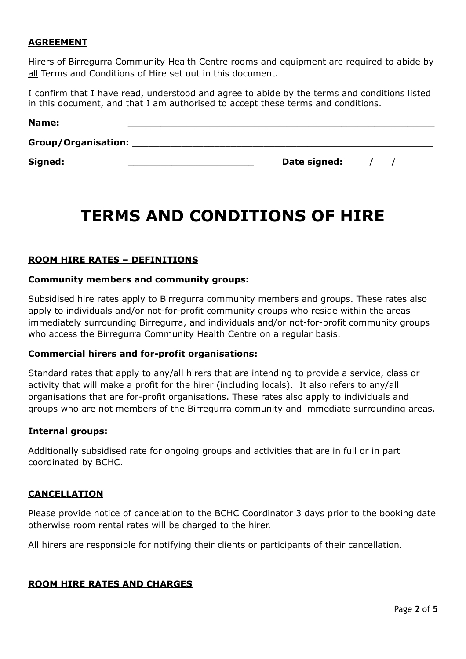#### **AGREEMENT**

Hirers of Birregurra Community Health Centre rooms and equipment are required to abide by all Terms and Conditions of Hire set out in this document.

I confirm that I have read, understood and agree to abide by the terms and conditions listed in this document, and that I am authorised to accept these terms and conditions.

| Name:               |              |  |  |
|---------------------|--------------|--|--|
| Group/Organisation: |              |  |  |
| Signed:             | Date signed: |  |  |

# **TERMS AND CONDITIONS OF HIRE**

#### **ROOM HIRE RATES – DEFINITIONS**

#### **Community members and community groups:**

Subsidised hire rates apply to Birregurra community members and groups. These rates also apply to individuals and/or not-for-profit community groups who reside within the areas immediately surrounding Birregurra, and individuals and/or not-for-profit community groups who access the Birregurra Community Health Centre on a regular basis.

#### **Commercial hirers and for-profit organisations:**

Standard rates that apply to any/all hirers that are intending to provide a service, class or activity that will make a profit for the hirer (including locals). It also refers to any/all organisations that are for-profit organisations. These rates also apply to individuals and groups who are not members of the Birregurra community and immediate surrounding areas.

#### **Internal groups:**

Additionally subsidised rate for ongoing groups and activities that are in full or in part coordinated by BCHC.

#### **CANCELLATION**

Please provide notice of cancelation to the BCHC Coordinator 3 days prior to the booking date otherwise room rental rates will be charged to the hirer.

All hirers are responsible for notifying their clients or participants of their cancellation.

#### **ROOM HIRE RATES AND CHARGES**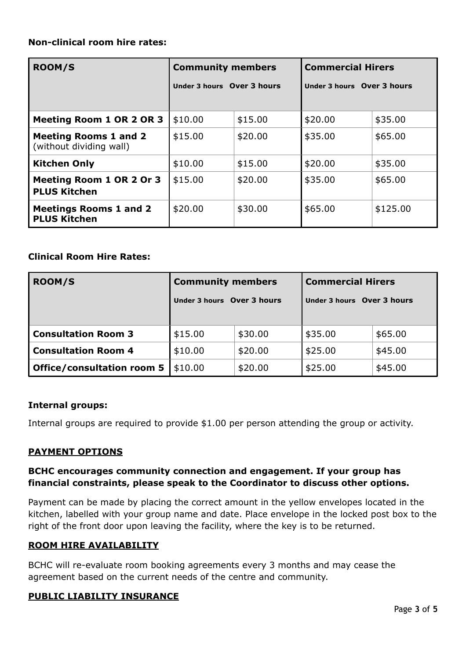## **Non-clinical room hire rates:**

| <b>ROOM/S</b>                                           | <b>Community members</b>   |         | <b>Commercial Hirers</b>   |          |
|---------------------------------------------------------|----------------------------|---------|----------------------------|----------|
|                                                         | Under 3 hours Over 3 hours |         | Under 3 hours Over 3 hours |          |
| Meeting Room 1 OR 2 OR 3                                | \$10.00                    | \$15.00 | \$20.00                    | \$35.00  |
|                                                         |                            |         |                            |          |
| <b>Meeting Rooms 1 and 2</b><br>(without dividing wall) | \$15.00                    | \$20.00 | \$35.00                    | \$65.00  |
| <b>Kitchen Only</b>                                     | \$10.00                    | \$15.00 | \$20.00                    | \$35.00  |
| Meeting Room 1 OR 2 Or 3<br><b>PLUS Kitchen</b>         | \$15.00                    | \$20.00 | \$35.00                    | \$65.00  |
| <b>Meetings Rooms 1 and 2</b><br><b>PLUS Kitchen</b>    | \$20.00                    | \$30.00 | \$65.00                    | \$125.00 |

## **Clinical Room Hire Rates:**

| <b>ROOM/S</b>                     | <b>Community members</b><br>Under 3 hours Over 3 hours |         | <b>Commercial Hirers</b><br>Under 3 hours Over 3 hours |         |  |
|-----------------------------------|--------------------------------------------------------|---------|--------------------------------------------------------|---------|--|
|                                   |                                                        |         |                                                        |         |  |
| <b>Consultation Room 3</b>        | \$15.00                                                | \$30.00 | \$35.00                                                | \$65.00 |  |
| <b>Consultation Room 4</b>        | \$10.00                                                | \$20.00 | \$25.00                                                | \$45.00 |  |
| <b>Office/consultation room 5</b> | \$10.00                                                | \$20.00 | \$25.00                                                | \$45.00 |  |

## **Internal groups:**

Internal groups are required to provide \$1.00 per person attending the group or activity.

## **PAYMENT OPTIONS**

## **BCHC encourages community connection and engagement. If your group has financial constraints, please speak to the Coordinator to discuss other options.**

Payment can be made by placing the correct amount in the yellow envelopes located in the kitchen, labelled with your group name and date. Place envelope in the locked post box to the right of the front door upon leaving the facility, where the key is to be returned.

# **ROOM HIRE AVAILABILITY**

BCHC will re-evaluate room booking agreements every 3 months and may cease the agreement based on the current needs of the centre and community.

## **PUBLIC LIABILITY INSURANCE**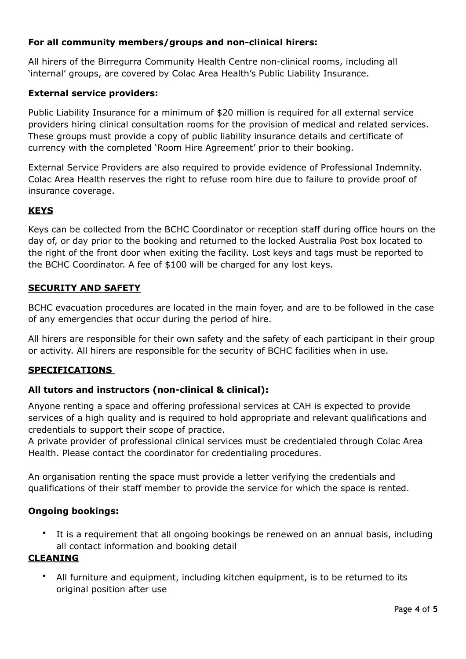# **For all community members/groups and non-clinical hirers:**

All hirers of the Birregurra Community Health Centre non-clinical rooms, including all 'internal' groups, are covered by Colac Area Health's Public Liability Insurance.

## **External service providers:**

Public Liability Insurance for a minimum of \$20 million is required for all external service providers hiring clinical consultation rooms for the provision of medical and related services. These groups must provide a copy of public liability insurance details and certificate of currency with the completed 'Room Hire Agreement' prior to their booking.

External Service Providers are also required to provide evidence of Professional Indemnity. Colac Area Health reserves the right to refuse room hire due to failure to provide proof of insurance coverage.

# **KEYS**

Keys can be collected from the BCHC Coordinator or reception staff during office hours on the day of, or day prior to the booking and returned to the locked Australia Post box located to the right of the front door when exiting the facility. Lost keys and tags must be reported to the BCHC Coordinator. A fee of \$100 will be charged for any lost keys.

#### **SECURITY AND SAFETY**

BCHC evacuation procedures are located in the main foyer, and are to be followed in the case of any emergencies that occur during the period of hire.

All hirers are responsible for their own safety and the safety of each participant in their group or activity. All hirers are responsible for the security of BCHC facilities when in use.

## **SPECIFICATIONS**

## **All tutors and instructors (non-clinical & clinical):**

Anyone renting a space and offering professional services at CAH is expected to provide services of a high quality and is required to hold appropriate and relevant qualifications and credentials to support their scope of practice.

A private provider of professional clinical services must be credentialed through Colac Area Health. Please contact the coordinator for credentialing procedures.

An organisation renting the space must provide a letter verifying the credentials and qualifications of their staff member to provide the service for which the space is rented.

#### **Ongoing bookings:**

• It is a requirement that all ongoing bookings be renewed on an annual basis, including all contact information and booking detail

#### **CLEANING**

• All furniture and equipment, including kitchen equipment, is to be returned to its original position after use